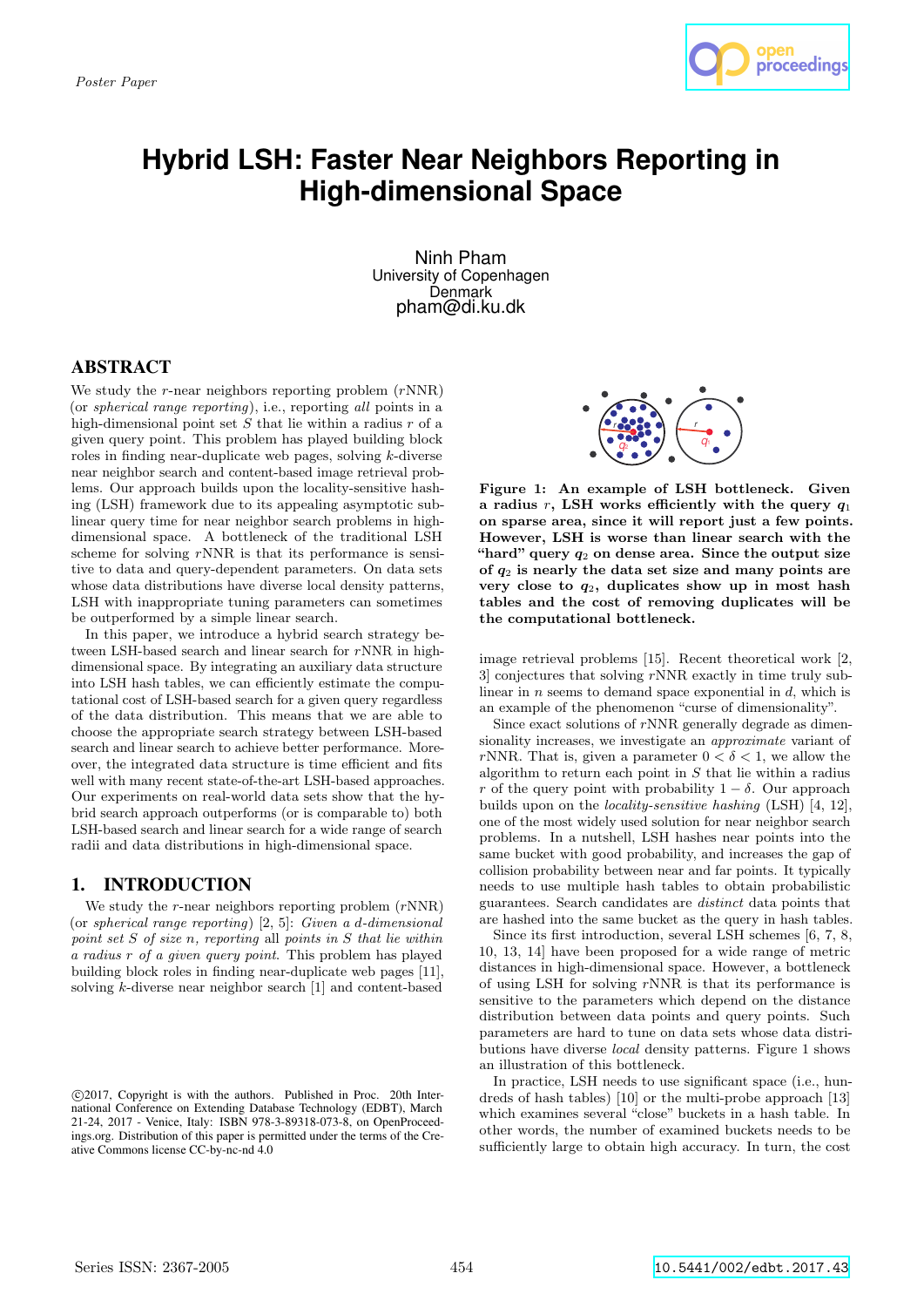

# **Hybrid LSH: Faster Near Neighbors Reporting in High-dimensional Space**

Ninh Pham University of Copenhagen Denmark pham@di.ku.dk

# ABSTRACT

We study the  $r$ -near neighbors reporting problem  $(rNNR)$ (or spherical range reporting), i.e., reporting all points in a high-dimensional point set  $S$  that lie within a radius  $r$  of a given query point. This problem has played building block roles in finding near-duplicate web pages, solving k-diverse near neighbor search and content-based image retrieval problems. Our approach builds upon the locality-sensitive hashing (LSH) framework due to its appealing asymptotic sublinear query time for near neighbor search problems in highdimensional space. A bottleneck of the traditional LSH scheme for solving  $r$ NNR is that its performance is sensitive to data and query-dependent parameters. On data sets whose data distributions have diverse local density patterns, LSH with inappropriate tuning parameters can sometimes be outperformed by a simple linear search.

In this paper, we introduce a hybrid search strategy between LSH-based search and linear search for rNNR in highdimensional space. By integrating an auxiliary data structure into LSH hash tables, we can efficiently estimate the computational cost of LSH-based search for a given query regardless of the data distribution. This means that we are able to choose the appropriate search strategy between LSH-based search and linear search to achieve better performance. Moreover, the integrated data structure is time efficient and fits well with many recent state-of-the-art LSH-based approaches. Our experiments on real-world data sets show that the hybrid search approach outperforms (or is comparable to) both LSH-based search and linear search for a wide range of search radii and data distributions in high-dimensional space.

# 1. INTRODUCTION

We study the  $r$ -near neighbors reporting problem  $(rNNR)$ (or spherical range reporting) [2, 5]: Given a d-dimensional point set S of size n, reporting all points in S that lie within a radius r of a given query point. This problem has played building block roles in finding near-duplicate web pages [11], solving k-diverse near neighbor search [1] and content-based



Figure 1: An example of LSH bottleneck. Given a radius r, LSH works efficiently with the query  $q_1$ on sparse area, since it will report just a few points. However, LSH is worse than linear search with the "hard" query  $q_2$  on dense area. Since the output size of  $q_2$  is nearly the data set size and many points are very close to  $q_2$ , duplicates show up in most hash tables and the cost of removing duplicates will be the computational bottleneck.

image retrieval problems [15]. Recent theoretical work [2, 3] conjectures that solving rNNR exactly in time truly sublinear in  $n$  seems to demand space exponential in  $d$ , which is an example of the phenomenon "curse of dimensionality".

Since exact solutions of  $r$ NNR generally degrade as dimensionality increases, we investigate an approximate variant of rNNR. That is, given a parameter  $0 < \delta < 1$ , we allow the algorithm to return each point in  $S$  that lie within a radius r of the query point with probability  $1 - \delta$ . Our approach builds upon on the locality-sensitive hashing (LSH) [4, 12], one of the most widely used solution for near neighbor search problems. In a nutshell, LSH hashes near points into the same bucket with good probability, and increases the gap of collision probability between near and far points. It typically needs to use multiple hash tables to obtain probabilistic guarantees. Search candidates are distinct data points that are hashed into the same bucket as the query in hash tables.

Since its first introduction, several LSH schemes [6, 7, 8, 10, 13, 14] have been proposed for a wide range of metric distances in high-dimensional space. However, a bottleneck of using LSH for solving rNNR is that its performance is sensitive to the parameters which depend on the distance distribution between data points and query points. Such parameters are hard to tune on data sets whose data distributions have diverse local density patterns. Figure 1 shows an illustration of this bottleneck.

In practice, LSH needs to use significant space (i.e., hundreds of hash tables) [10] or the multi-probe approach [13] which examines several "close" buckets in a hash table. In other words, the number of examined buckets needs to be sufficiently large to obtain high accuracy. In turn, the cost

c 2017, Copyright is with the authors. Published in Proc. 20th International Conference on Extending Database Technology (EDBT), March 21-24, 2017 - Venice, Italy: ISBN 978-3-89318-073-8, on OpenProceedings.org. Distribution of this paper is permitted under the terms of the Creative Commons license CC-by-nc-nd 4.0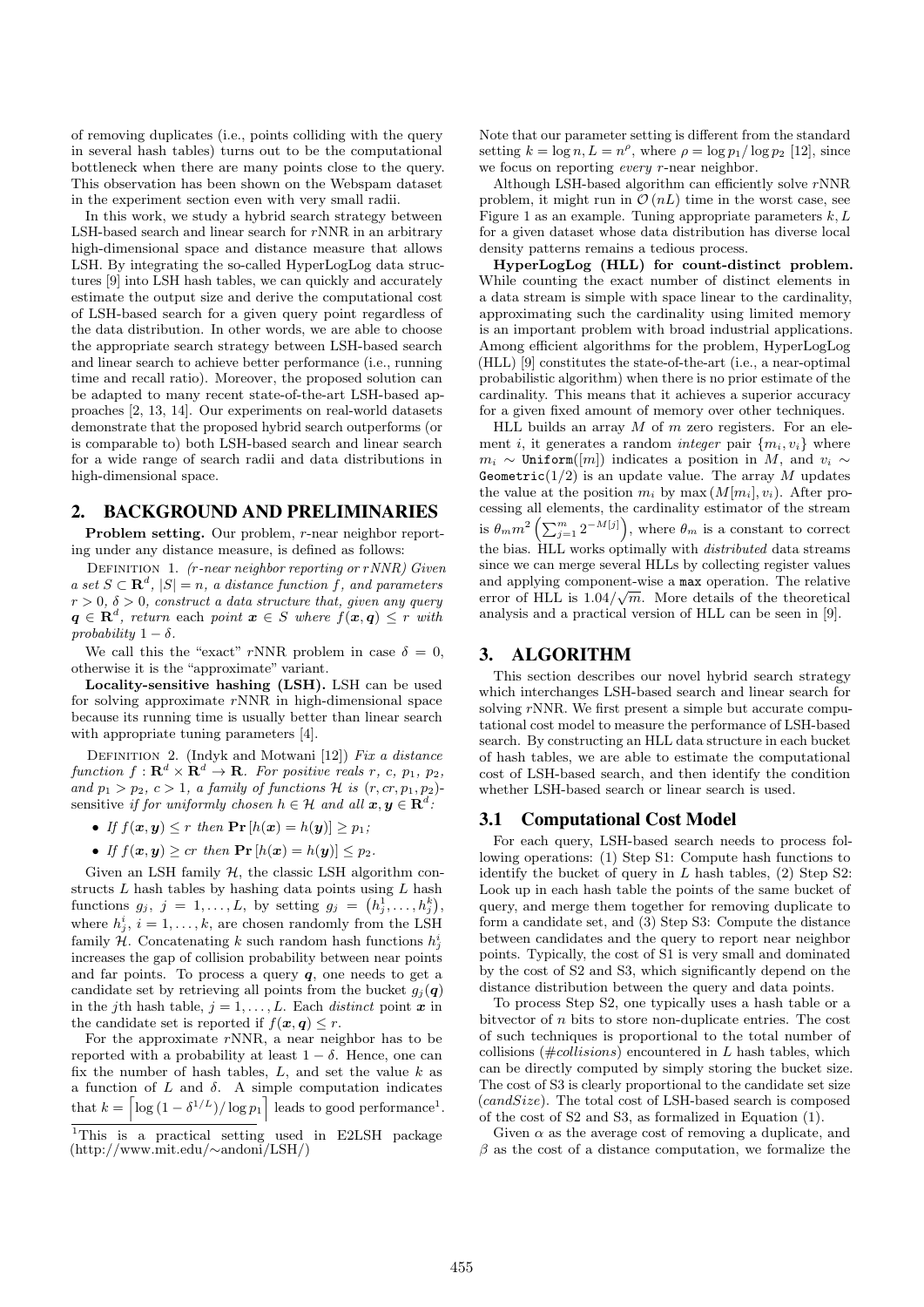of removing duplicates (i.e., points colliding with the query in several hash tables) turns out to be the computational bottleneck when there are many points close to the query. This observation has been shown on the Webspam dataset in the experiment section even with very small radii.

In this work, we study a hybrid search strategy between LSH-based search and linear search for rNNR in an arbitrary high-dimensional space and distance measure that allows LSH. By integrating the so-called HyperLogLog data structures [9] into LSH hash tables, we can quickly and accurately estimate the output size and derive the computational cost of LSH-based search for a given query point regardless of the data distribution. In other words, we are able to choose the appropriate search strategy between LSH-based search and linear search to achieve better performance (i.e., running time and recall ratio). Moreover, the proposed solution can be adapted to many recent state-of-the-art LSH-based approaches [2, 13, 14]. Our experiments on real-world datasets demonstrate that the proposed hybrid search outperforms (or is comparable to) both LSH-based search and linear search for a wide range of search radii and data distributions in high-dimensional space.

### 2. BACKGROUND AND PRELIMINARIES

Problem setting. Our problem, r-near neighbor reporting under any distance measure, is defined as follows:

DEFINITION 1. (r-near neighbor reporting or rNNR) Given a set  $S \subset \mathbf{R}^d$ ,  $|S| = n$ , a distance function f, and parameters  $r > 0$ ,  $\delta > 0$ , construct a data structure that, given any query  $q \in \mathbf{R}^{d}$ , return each point  $x \in S$  where  $f(x,q) \leq r$  with probability  $1 - \delta$ .

We call this the "exact" rNNR problem in case  $\delta = 0$ , otherwise it is the "approximate" variant.

Locality-sensitive hashing (LSH). LSH can be used for solving approximate  $r$ NNR in high-dimensional space because its running time is usually better than linear search with appropriate tuning parameters [4].

DEFINITION 2. (Indyk and Motwani [12]) Fix a distance function  $f: \mathbf{R}^d \times \mathbf{R}^d \to \mathbf{R}$ . For positive reals r, c, p<sub>1</sub>, p<sub>2</sub>, and  $p_1 > p_2$ ,  $c > 1$ , a family of functions H is  $(r, cr, p_1, p_2)$ sensitive if for uniformly chosen  $h \in \mathcal{H}$  and all  $\boldsymbol{x}, \boldsymbol{y} \in \mathbf{R}^d$ .

- If  $f(\boldsymbol{x}, \boldsymbol{y}) \leq r$  then  $\Pr[h(\boldsymbol{x}) = h(\boldsymbol{y})] > p_1$ ;
- If  $f(\boldsymbol{x}, \boldsymbol{y}) \geq cr$  then  $\Pr[h(\boldsymbol{x}) = h(\boldsymbol{y})] \leq p_2$ .

Given an LSH family  $H$ , the classic LSH algorithm constructs  $L$  hash tables by hashing data points using  $L$  hash functions  $g_j, j = 1, ..., L$ , by setting  $g_j = (h_j^1, ..., h_j^k)$ , where  $h_j^i$ ,  $i = 1, ..., k$ , are chosen randomly from the LSH family H. Concatenating k such random hash functions  $h_j^i$ increases the gap of collision probability between near points and far points. To process a query  $q$ , one needs to get a candidate set by retrieving all points from the bucket  $g_j(q)$ in the j<sup>th</sup> hash table,  $j = 1, \ldots, L$ . Each *distinct* point **x** in the candidate set is reported if  $f(\mathbf{x}, \mathbf{q}) \leq r$ .

For the approximate  $r$ NNR, a near neighbor has to be reported with a probability at least  $1 - \delta$ . Hence, one can fix the number of hash tables,  $L$ , and set the value  $k$  as a function of  $L$  and  $\delta$ . A simple computation indicates that  $k = \left\lceil \log \left(1 - \delta^{1/L} \right) / \log p_1 \right\rceil$  leads to good performance<sup>1</sup>. Note that our parameter setting is different from the standard setting  $k = \log n, L = n^{\rho}$ , where  $\rho = \log p_1 / \log p_2$  [12], since we focus on reporting *every r*-near neighbor.

Although LSH-based algorithm can efficiently solve rNNR problem, it might run in  $\mathcal{O}(nL)$  time in the worst case, see Figure 1 as an example. Tuning appropriate parameters  $k, L$ for a given dataset whose data distribution has diverse local density patterns remains a tedious process.

HyperLogLog (HLL) for count-distinct problem. While counting the exact number of distinct elements in a data stream is simple with space linear to the cardinality, approximating such the cardinality using limited memory is an important problem with broad industrial applications. Among efficient algorithms for the problem, HyperLogLog (HLL) [9] constitutes the state-of-the-art (i.e., a near-optimal probabilistic algorithm) when there is no prior estimate of the cardinality. This means that it achieves a superior accuracy for a given fixed amount of memory over other techniques.

HLL builds an array  $M$  of  $m$  zero registers. For an element *i*, it generates a random *integer* pair  $\{m_i, v_i\}$  where  $m_i \sim$  Uniform([m]) indicates a position in M, and  $v_i \sim$ Geometric( $1/2$ ) is an update value. The array M updates the value at the position  $m_i$  by max  $(M[m_i], v_i)$ . After processing all elements, the cardinality estimator of the stream is  $\theta_m m^2 \left( \sum_{j=1}^m 2^{-M[j]} \right)$ , where  $\theta_m$  is a constant to correct the bias. HLL works optimally with distributed data streams since we can merge several HLLs by collecting register values and applying component-wise a max operation. The relative error of HLL is  $1.04/\sqrt{m}$ . More details of the theoretical analysis and a practical version of HLL can be seen in [9].

# 3. ALGORITHM

This section describes our novel hybrid search strategy which interchanges LSH-based search and linear search for solving  $r$ NNR. We first present a simple but accurate computational cost model to measure the performance of LSH-based search. By constructing an HLL data structure in each bucket of hash tables, we are able to estimate the computational cost of LSH-based search, and then identify the condition whether LSH-based search or linear search is used.

#### 3.1 Computational Cost Model

For each query, LSH-based search needs to process following operations: (1) Step S1: Compute hash functions to identify the bucket of query in  $L$  hash tables,  $(2)$  Step S2: Look up in each hash table the points of the same bucket of query, and merge them together for removing duplicate to form a candidate set, and (3) Step S3: Compute the distance between candidates and the query to report near neighbor points. Typically, the cost of S1 is very small and dominated by the cost of S2 and S3, which significantly depend on the distance distribution between the query and data points.

To process Step S2, one typically uses a hash table or a bitvector of n bits to store non-duplicate entries. The cost of such techniques is proportional to the total number of collisions ( $\#collisions$ ) encountered in L hash tables, which can be directly computed by simply storing the bucket size. The cost of S3 is clearly proportional to the candidate set size  $(candSize)$ . The total cost of LSH-based search is composed of the cost of S2 and S3, as formalized in Equation (1).

Given  $\alpha$  as the average cost of removing a duplicate, and  $\beta$  as the cost of a distance computation, we formalize the

<sup>&</sup>lt;sup>1</sup>This is a practical setting used in E2LSH package (http://www.mit.edu/∼andoni/LSH/)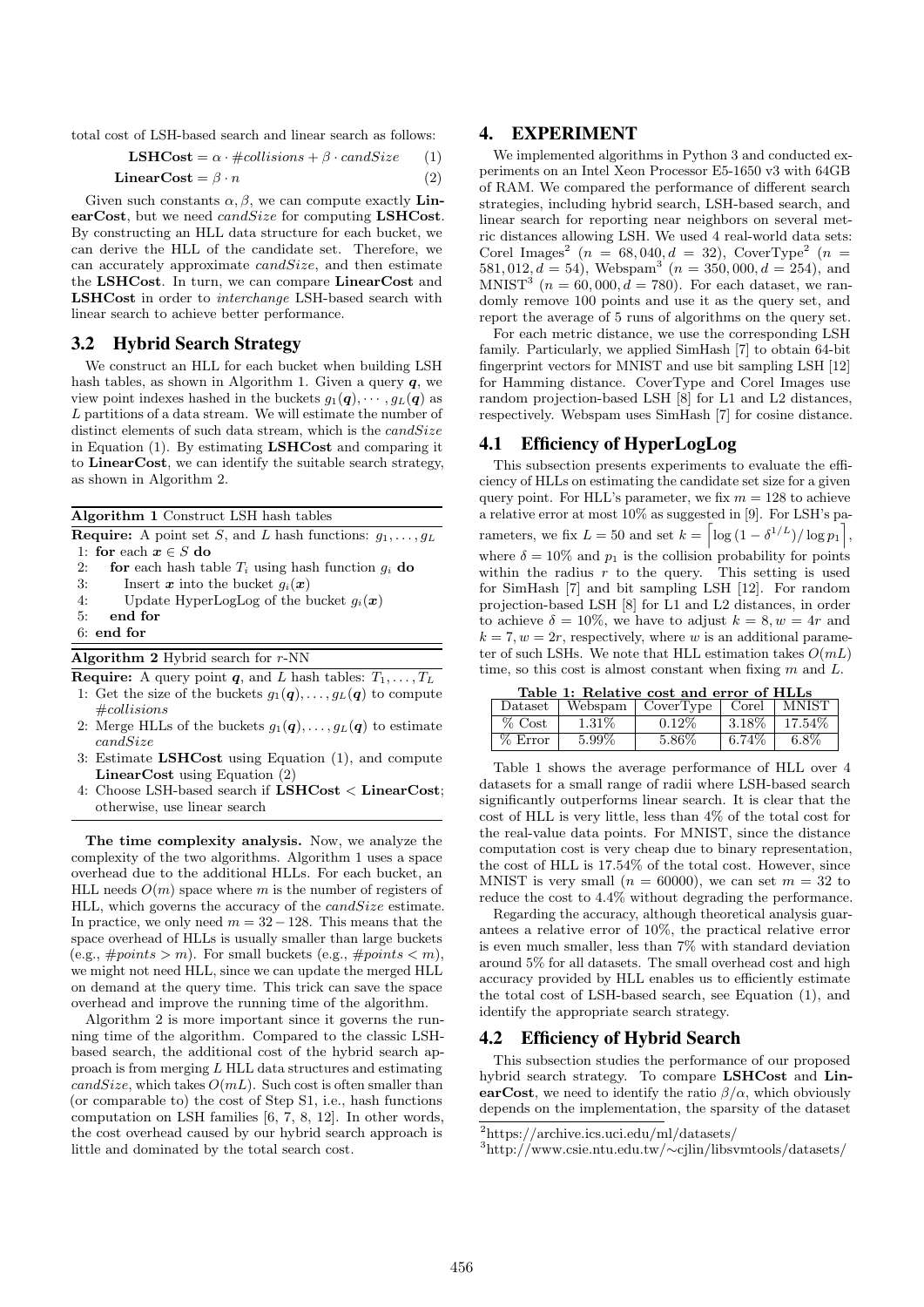total cost of LSH-based search and linear search as follows:

**LSHCost** = 
$$
\alpha \cdot \text{#collisions} + \beta \cdot \text{candsize}
$$
 (1)

LinearCost =  $\beta \cdot n$  (2)

Given such constants  $\alpha$ ,  $\beta$ , we can compute exactly **Lin**earCost, but we need *candSize* for computing LSHCost. By constructing an HLL data structure for each bucket, we can derive the HLL of the candidate set. Therefore, we can accurately approximate candSize, and then estimate the LSHCost. In turn, we can compare LinearCost and LSHCost in order to interchange LSH-based search with linear search to achieve better performance.

### 3.2 Hybrid Search Strategy

We construct an HLL for each bucket when building LSH hash tables, as shown in Algorithm 1. Given a query  $q$ , we view point indexes hashed in the buckets  $g_1(\boldsymbol{q}), \cdots, g_L(\boldsymbol{q})$  as L partitions of a data stream. We will estimate the number of distinct elements of such data stream, which is the  $candSize$ in Equation (1). By estimating LSHCost and comparing it to LinearCost, we can identify the suitable search strategy, as shown in Algorithm 2.

Algorithm 1 Construct LSH hash tables

**Require:** A point set S, and L hash functions:  $q_1, \ldots, q_L$ 1: for each  $x \in S$  do

- 2: **for** each hash table  $T_i$  using hash function  $g_i$  **do**
- 3: Insert  $\boldsymbol{x}$  into the bucket  $g_i(\boldsymbol{x})$
- 4: Update HyperLogLog of the bucket  $g_i(\boldsymbol{x})$
- 5: end for
- 6: end for

Algorithm 2 Hybrid search for r-NN

**Require:** A query point **q**, and L hash tables:  $T_1, \ldots, T_L$ 

- 1: Get the size of the buckets  $g_1(q), \ldots, g_L(q)$  to compute #collisions
- 2: Merge HLLs of the buckets  $g_1(q), \ldots, g_L(q)$  to estimate candSize
- Estimate LSHCost using Equation (1), and compute LinearCost using Equation (2)
- 4: Choose LSH-based search if LSHCost < LinearCost; otherwise, use linear search

The time complexity analysis. Now, we analyze the complexity of the two algorithms. Algorithm 1 uses a space overhead due to the additional HLLs. For each bucket, an HLL needs  $O(m)$  space where m is the number of registers of HLL, which governs the accuracy of the *candSize* estimate. In practice, we only need  $m = 32 - 128$ . This means that the space overhead of HLLs is usually smaller than large buckets (e.g.,  $#points > m$ ). For small buckets (e.g.,  $#points < m$ ), we might not need HLL, since we can update the merged HLL on demand at the query time. This trick can save the space overhead and improve the running time of the algorithm.

Algorithm 2 is more important since it governs the running time of the algorithm. Compared to the classic LSHbased search, the additional cost of the hybrid search approach is from merging L HLL data structures and estimating  $candSize$ , which takes  $O(mL)$ . Such cost is often smaller than (or comparable to) the cost of Step S1, i.e., hash functions computation on LSH families [6, 7, 8, 12]. In other words, the cost overhead caused by our hybrid search approach is little and dominated by the total search cost.

#### 4. EXPERIMENT

We implemented algorithms in Python 3 and conducted experiments on an Intel Xeon Processor E5-1650 v3 with 64GB of RAM. We compared the performance of different search strategies, including hybrid search, LSH-based search, and linear search for reporting near neighbors on several metric distances allowing LSH. We used 4 real-world data sets: Corel Images<sup>2</sup> ( $n = 68,040, d = 32$ ), CoverType<sup>2</sup> ( $n =$ 581, 012,  $d = 54$ ), Webspam<sup>3</sup> ( $n = 350,000, d = 254$ ), and  $MNIST<sup>3</sup>$  ( $n = 60,000, d = 780$ ). For each dataset, we randomly remove 100 points and use it as the query set, and report the average of 5 runs of algorithms on the query set.

For each metric distance, we use the corresponding LSH family. Particularly, we applied SimHash [7] to obtain 64-bit fingerprint vectors for MNIST and use bit sampling LSH [12] for Hamming distance. CoverType and Corel Images use random projection-based LSH [8] for L1 and L2 distances, respectively. Webspam uses SimHash [7] for cosine distance.

#### 4.1 Efficiency of HyperLogLog

This subsection presents experiments to evaluate the efficiency of HLLs on estimating the candidate set size for a given query point. For HLL's parameter, we fix  $m = 128$  to achieve a relative error at most 10% as suggested in [9]. For LSH's parameters, we fix  $L = 50$  and set  $k = \left\lceil \log\left(1 - \delta^{1/L}\right) / \log p_1 \right\rceil$ , where  $\delta = 10\%$  and  $p_1$  is the collision probability for points within the radius  $r$  to the query. This setting is used for SimHash [7] and bit sampling LSH [12]. For random projection-based LSH [8] for L1 and L2 distances, in order to achieve  $\delta = 10\%$ , we have to adjust  $k = 8, w = 4r$  and  $k = 7, w = 2r$ , respectively, where w is an additional parameter of such LSHs. We note that HLL estimation takes  $O(mL)$ time, so this cost is almost constant when fixing  $m$  and  $L$ .

Table 1: Relative cost and error of HLLs

| Dataset   | Webspam  | CoverType | Corel    | MNIST   |
|-----------|----------|-----------|----------|---------|
| $%$ Cost  | $1.31\%$ | $0.12\%$  | $3.18\%$ | 17.54%  |
| $%$ Error | 5.99%    | 5.86%     | $6.74\%$ | $6.8\%$ |

Table 1 shows the average performance of HLL over 4 datasets for a small range of radii where LSH-based search significantly outperforms linear search. It is clear that the cost of HLL is very little, less than 4% of the total cost for the real-value data points. For MNIST, since the distance computation cost is very cheap due to binary representation, the cost of HLL is 17.54% of the total cost. However, since MNIST is very small  $(n = 60000)$ , we can set  $m = 32$  to reduce the cost to 4.4% without degrading the performance.

Regarding the accuracy, although theoretical analysis guarantees a relative error of 10%, the practical relative error is even much smaller, less than 7% with standard deviation around 5% for all datasets. The small overhead cost and high accuracy provided by HLL enables us to efficiently estimate the total cost of LSH-based search, see Equation (1), and identify the appropriate search strategy.

#### 4.2 Efficiency of Hybrid Search

This subsection studies the performance of our proposed hybrid search strategy. To compare LSHCost and LinearCost, we need to identify the ratio  $\beta/\alpha$ , which obviously depends on the implementation, the sparsity of the dataset

<sup>2</sup>https://archive.ics.uci.edu/ml/datasets/

<sup>3</sup>http://www.csie.ntu.edu.tw/∼cjlin/libsvmtools/datasets/